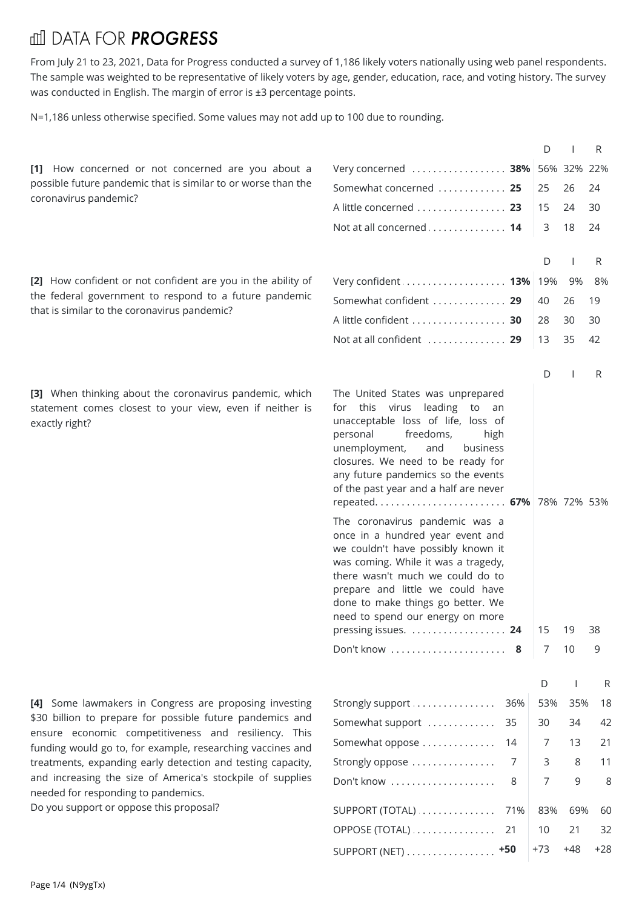## **III DATA FOR PROGRESS**

From July 21 to 23, 2021, Data for Progress conducted a survey of 1,186 likely voters nationally using web panel respondents. The sample was weighted to be representative of likely voters by age, gender, education, race, and voting history. The survey was conducted in English. The margin of error is ±3 percentage points.

N=1,186 unless otherwise specified. Some values may not add up to 100 due to rounding.

|                                                                                                                                       |                                                                                                                                                                                                                                                                                                                                                                                                                                                                                                                                                                                                                                                                          | D             |          | R       |       |
|---------------------------------------------------------------------------------------------------------------------------------------|--------------------------------------------------------------------------------------------------------------------------------------------------------------------------------------------------------------------------------------------------------------------------------------------------------------------------------------------------------------------------------------------------------------------------------------------------------------------------------------------------------------------------------------------------------------------------------------------------------------------------------------------------------------------------|---------------|----------|---------|-------|
| [1] How concerned or not concerned are you about a                                                                                    | Very concerned  38% 56% 32% 22%                                                                                                                                                                                                                                                                                                                                                                                                                                                                                                                                                                                                                                          |               |          |         |       |
| possible future pandemic that is similar to or worse than the                                                                         | Somewhat concerned  25                                                                                                                                                                                                                                                                                                                                                                                                                                                                                                                                                                                                                                                   | 25            | 26       | 24      |       |
| coronavirus pandemic?                                                                                                                 | A little concerned 23                                                                                                                                                                                                                                                                                                                                                                                                                                                                                                                                                                                                                                                    | 15            | 24       | 30      |       |
|                                                                                                                                       | Not at all concerned  14                                                                                                                                                                                                                                                                                                                                                                                                                                                                                                                                                                                                                                                 | 3             | 18       | -24     |       |
|                                                                                                                                       |                                                                                                                                                                                                                                                                                                                                                                                                                                                                                                                                                                                                                                                                          |               |          |         |       |
|                                                                                                                                       |                                                                                                                                                                                                                                                                                                                                                                                                                                                                                                                                                                                                                                                                          | D             |          | R       |       |
| [2] How confident or not confident are you in the ability of                                                                          | Very confident  13% 19%                                                                                                                                                                                                                                                                                                                                                                                                                                                                                                                                                                                                                                                  |               | 9%       | 8%      |       |
| the federal government to respond to a future pandemic<br>that is similar to the coronavirus pandemic?                                | Somewhat confident  29                                                                                                                                                                                                                                                                                                                                                                                                                                                                                                                                                                                                                                                   | 40            | 26       | 19      |       |
|                                                                                                                                       | A little confident  30                                                                                                                                                                                                                                                                                                                                                                                                                                                                                                                                                                                                                                                   | 28            | 30       | 30      |       |
|                                                                                                                                       | Not at all confident  29                                                                                                                                                                                                                                                                                                                                                                                                                                                                                                                                                                                                                                                 | 13            | 35       | 42      |       |
|                                                                                                                                       |                                                                                                                                                                                                                                                                                                                                                                                                                                                                                                                                                                                                                                                                          | D             |          | R       |       |
| [3] When thinking about the coronavirus pandemic, which<br>statement comes closest to your view, even if neither is<br>exactly right? | The United States was unprepared<br>for this virus leading to an<br>unacceptable loss of life, loss of<br>personal<br>freedoms,<br>high<br>unemployment,<br>and<br>business<br>closures. We need to be ready for<br>any future pandemics so the events<br>of the past year and a half are never<br>repeated 67% 78% 72% 53%<br>The coronavirus pandemic was a<br>once in a hundred year event and<br>we couldn't have possibly known it<br>was coming. While it was a tragedy,<br>there wasn't much we could do to<br>prepare and little we could have<br>done to make things go better. We<br>need to spend our energy on more<br>pressing issues.  24<br>Don't know  8 | 15<br>7       | 19<br>10 | 38<br>9 |       |
|                                                                                                                                       |                                                                                                                                                                                                                                                                                                                                                                                                                                                                                                                                                                                                                                                                          |               |          |         |       |
|                                                                                                                                       |                                                                                                                                                                                                                                                                                                                                                                                                                                                                                                                                                                                                                                                                          | D             |          |         | R     |
| [4] Some lawmakers in Congress are proposing investing<br>\$30 billion to prepare for possible future pandemics and                   | Strongly support<br>36%                                                                                                                                                                                                                                                                                                                                                                                                                                                                                                                                                                                                                                                  | 53%           |          | 35%     | 18    |
| ensure economic competitiveness and resiliency. This                                                                                  | Somewhat support  35                                                                                                                                                                                                                                                                                                                                                                                                                                                                                                                                                                                                                                                     | 30            | 34       |         | 42    |
| funding would go to, for example, researching vaccines and                                                                            | Somewhat oppose  14                                                                                                                                                                                                                                                                                                                                                                                                                                                                                                                                                                                                                                                      | 13<br>21<br>7 |          |         |       |
| treatments, expanding early detection and testing capacity,                                                                           | Strongly oppose<br>7                                                                                                                                                                                                                                                                                                                                                                                                                                                                                                                                                                                                                                                     | 3             |          | 8       | 11    |
| and increasing the size of America's stockpile of supplies<br>needed for responding to pandemics.                                     | Don't know<br>8                                                                                                                                                                                                                                                                                                                                                                                                                                                                                                                                                                                                                                                          | 7             |          | 9       | 8     |
| Do you support or oppose this proposal?                                                                                               | SUPPORT (TOTAL)  71%                                                                                                                                                                                                                                                                                                                                                                                                                                                                                                                                                                                                                                                     | 83%           |          | 69%     | 60    |
|                                                                                                                                       | OPPOSE (TOTAL)  21                                                                                                                                                                                                                                                                                                                                                                                                                                                                                                                                                                                                                                                       | 10            | 21       |         | 32    |
|                                                                                                                                       | $+50$<br>SUPPORT (NET)                                                                                                                                                                                                                                                                                                                                                                                                                                                                                                                                                                                                                                                   | $+73$         | $+48$    |         | $+28$ |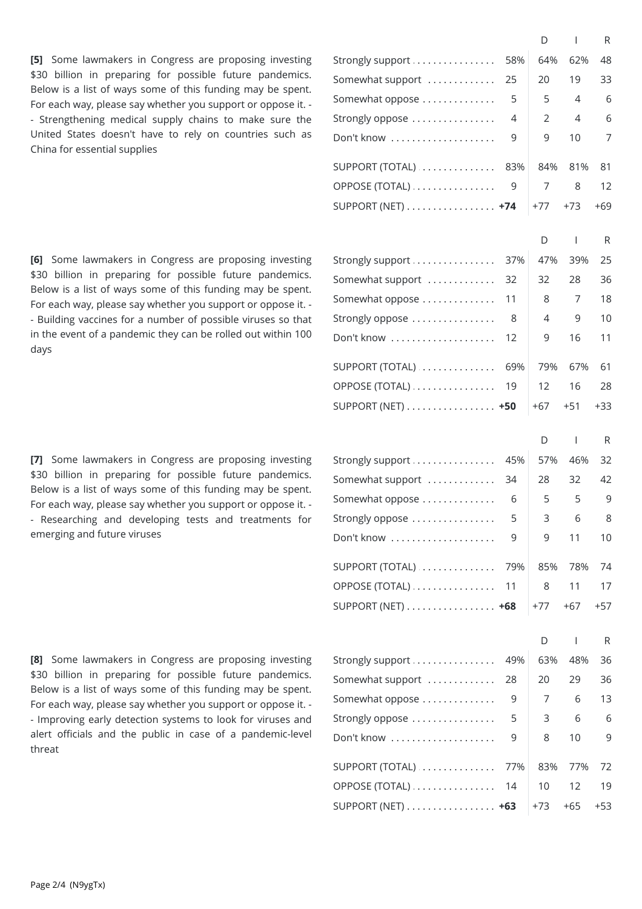**[5]** Some lawmakers in Congress are proposing investing \$30 billion in preparing for possible future pandemics. Below is a list of ways some of this funding may be spent. For each way, please say whether you support or oppose it. - - Strengthening medical supply chains to make sure the United States doesn't have to rely on countries such as China for essential supplies

**[6]** Some lawmakers in Congress are proposing investing \$30 billion in preparing for possible future pandemics. Below is a list of ways some of this funding may be spent. For each way, please say whether you support or oppose it. - - Building vaccines for a number of possible viruses so that in the event of a pandemic they can be rolled out within 100 days

**[7]** Some lawmakers in Congress are proposing investing \$30 billion in preparing for possible future pandemics. Below is a list of ways some of this funding may be spent. For each way, please say whether you support or oppose it. - - Researching and developing tests and treatments for emerging and future viruses

**[8]** Some lawmakers in Congress are proposing investing \$30 billion in preparing for possible future pandemics. Below is a list of ways some of this funding may be spent. For each way, please say whether you support or oppose it. - - Improving early detection systems to look for viruses and alert officials and the public in case of a pandemic-level threat

|                   |     | D              | $\overline{1}$           | R     |
|-------------------|-----|----------------|--------------------------|-------|
| Strongly support  | 58% | 64%            | 62%                      | 48    |
| Somewhat support  | 25  | 20             | 19                       | 33    |
| Somewhat oppose   | 5   | 5              | $\overline{4}$           | 6     |
| Strongly oppose   | 4   | 2              | $\overline{4}$           | 6     |
| Don't know        | 9   | 9              | 10                       | 7     |
| SUPPORT (TOTAL)   | 83% | 84%            | 81%                      | 81    |
| OPPOSE (TOTAL)    | 9   | 7              | 8                        | 12    |
| SUPPORT (NET) +74 |     | $+77$          | $+73$                    | $+69$ |
|                   |     |                |                          |       |
|                   |     | D              | $\mathbf{I}$             | R     |
| Strongly support  | 37% | 47%            | 39%                      | 25    |
| Somewhat support  | 32  | 32             | 28                       | 36    |
| Somewhat oppose   | 11  | 8              | 7                        | 18    |
| Strongly oppose   | 8   | $\overline{4}$ | 9                        | 10    |
| Don't know        | 12  | 9              | 16                       | 11    |
|                   |     |                |                          |       |
| SUPPORT (TOTAL)   | 69% | 79%            | 67%                      | 61    |
| OPPOSE (TOTAL)    | 19  | 12             | 16                       | 28    |
| SUPPORT (NET) +50 |     | $+67$          | $+51$                    | $+33$ |
|                   |     | D              | $\overline{\phantom{a}}$ | R     |
| Strongly support  | 45% | 57%            | 46%                      | 32    |
| Somewhat support  | 34  | 28             | 32                       | 42    |
| Somewhat oppose   | 6   | 5              | 5                        | 9     |
| Strongly oppose   | 5   | 3              | 6                        | 8     |
| Don't know        | 9   | 9              | 11                       | 10    |
|                   |     |                |                          |       |
| SUPPORT (TOTAL)   | 79% | 85%            | 78%                      | 74    |
| OPPOSE (TOTAL)    | 11  | 8              | 11                       | 17    |
| SUPPORT (NET) +68 |     | $+77$          | $+67$                    | $+57$ |
|                   |     |                |                          |       |
|                   |     | D              | $\mathbf{I}$             | R     |
| Strongly support  | 49% | 63%            | 48%                      | 36    |
| Somewhat support  | 28  | 20             | 29                       | 36    |
| Somewhat oppose   | 9   | 7              | 6                        | 13    |
| Strongly oppose   | 5   | 3              | 6                        | 6     |
| Don't know        | 9   | 8              | 10                       | 9     |
| SUPPORT (TOTAL)   | 77% | 83%            | 77%                      | 72    |
| OPPOSE (TOTAL)    | 14  | 10             | 12                       | 19    |
| SUPPORT (NET) +63 |     | +73            | $+65$                    | $+53$ |
|                   |     |                |                          |       |
|                   |     |                |                          |       |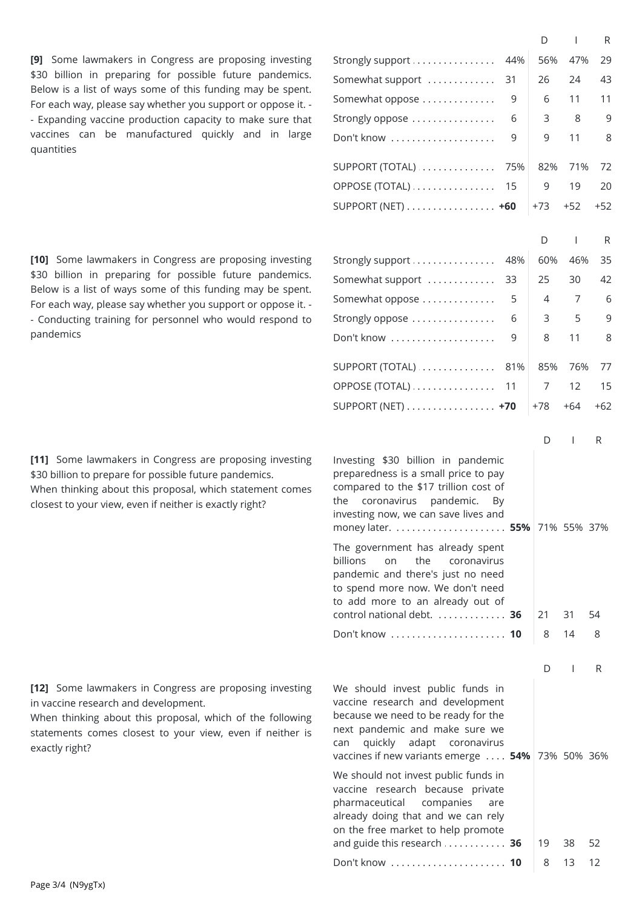**[9]** Some lawmakers in Congress are proposing investing \$30 billion in preparing for possible future pandemics. Below is a list of ways some of this funding may be spent. For each way, please say whether you support or oppose it. - - Expanding vaccine production capacity to make sure that vaccines can be manufactured quickly and in large quantities

**[10]** Some lawmakers in Congress are proposing investing \$30 billion in preparing for possible future pandemics. Below is a list of ways some of this funding may be spent. For each way, please say whether you support or oppose it. - - Conducting training for personnel who would respond to pandemics

**[11]** Some lawmakers in Congress are proposing investing \$30 billion to prepare for possible future pandemics. When thinking about this proposal, which statement comes closest to your view, even if neither is exactly right?

**[12]** Some lawmakers in Congress are proposing investing in vaccine research and development.

When thinking about this proposal, which of the following statements comes closest to your view, even if neither is exactly right?

|                                                                                                                                                                                                                                 |     | D              | $\overline{1}$ | R     |  |
|---------------------------------------------------------------------------------------------------------------------------------------------------------------------------------------------------------------------------------|-----|----------------|----------------|-------|--|
| Strongly support                                                                                                                                                                                                                | 44% | 56%            | 47%            | 29    |  |
| Somewhat support                                                                                                                                                                                                                | 31  | 26             | 24             | 43    |  |
| Somewhat oppose                                                                                                                                                                                                                 | 9   | 6              | 11             | 11    |  |
| Strongly oppose                                                                                                                                                                                                                 | 6   | 3              | 8              | 9     |  |
| Don't know                                                                                                                                                                                                                      | 9   | 9              | 11             | 8     |  |
| SUPPORT (TOTAL)                                                                                                                                                                                                                 | 75% | 82%            | 71%            | 72    |  |
| OPPOSE (TOTAL)                                                                                                                                                                                                                  | 15  | 9              | 19             | 20    |  |
| SUPPORT (NET) $\dots\dots\dots\dots\dots\dots$                                                                                                                                                                                  |     | $+73$          | $+52$          | $+52$ |  |
|                                                                                                                                                                                                                                 |     |                |                |       |  |
|                                                                                                                                                                                                                                 |     | D              | $\mathsf{I}$   | R     |  |
| Strongly support                                                                                                                                                                                                                | 48% | 60%            | 46%            | 35    |  |
| Somewhat support                                                                                                                                                                                                                | 33  | 25             | 30             | 42    |  |
| Somewhat oppose                                                                                                                                                                                                                 | 5   | $\overline{4}$ | 7              | 6     |  |
| Strongly oppose                                                                                                                                                                                                                 | 6   | 3              | 5              | 9     |  |
| Don't know                                                                                                                                                                                                                      | 9   | 8              | 11             | 8     |  |
| SUPPORT (TOTAL)                                                                                                                                                                                                                 | 81% | 85%            | 76%            | 77    |  |
| OPPOSE (TOTAL)                                                                                                                                                                                                                  | 11  | 7              | 12             | 15    |  |
| SUPPORT (NET) $\dots\dots\dots\dots\dots\dots$                                                                                                                                                                                  |     | $+78$          | $+64$          | $+62$ |  |
|                                                                                                                                                                                                                                 |     |                |                |       |  |
| Investing \$30 billion in pandemic<br>preparedness is a small price to pay<br>compared to the \$17 trillion cost of<br>coronavirus<br>pandemic.<br>the<br>investing now, we can save lives and                                  | By  | D              | L              | R     |  |
| The government has already spent<br>billions<br>the<br>on<br>coronavirus<br>pandemic and there's just no need<br>to spend more now. We don't need<br>to add more to an already out of<br>control national debt.  36             |     | 21             | 31             | 54    |  |
| Don't know  10                                                                                                                                                                                                                  |     | 8              | 14             | 8     |  |
|                                                                                                                                                                                                                                 |     |                |                |       |  |
|                                                                                                                                                                                                                                 |     | D              | $\mathbf{I}$   | R     |  |
| We should invest public funds in<br>vaccine research and development<br>because we need to be ready for the<br>next pandemic and make sure we<br>adapt<br>quickly<br>coronavirus<br>can<br>vaccines if new variants emerge  54% |     |                | 73% 50% 36%    |       |  |
| We should not invest public funds in<br>vaccine research because private<br>pharmaceutical<br>companies<br>are<br>already doing that and we can rely<br>on the free market to help promote                                      |     |                |                |       |  |
| and guide this research 36                                                                                                                                                                                                      |     | 19             | 38             | 52    |  |
| Don't know  10                                                                                                                                                                                                                  |     | 8              | 13             | 12    |  |